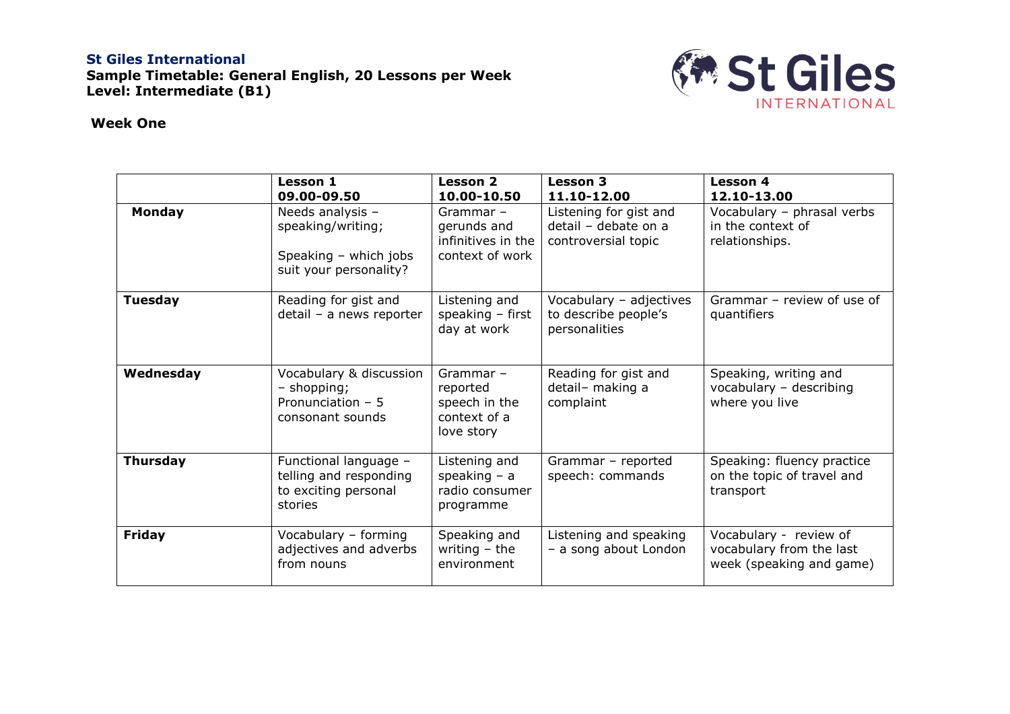## **St Giles International Sample Timetable: General English, 20 Lessons per Week Level: Intermediate (B1)**



## **Week One**

|                 | <b>Lesson 1</b><br>09.00-09.50                                                           | <b>Lesson 2</b><br>10.00-10.50                                         | <b>Lesson 3</b><br>11.10-12.00                                        | <b>Lesson 4</b><br>12.10-13.00                                                 |
|-----------------|------------------------------------------------------------------------------------------|------------------------------------------------------------------------|-----------------------------------------------------------------------|--------------------------------------------------------------------------------|
| <b>Monday</b>   | Needs analysis -<br>speaking/writing;<br>Speaking - which jobs<br>suit your personality? | $Grammar -$<br>gerunds and<br>infinitives in the<br>context of work    | Listening for gist and<br>detail - debate on a<br>controversial topic | Vocabulary - phrasal verbs<br>in the context of<br>relationships.              |
| <b>Tuesday</b>  | Reading for gist and<br>detail - a news reporter                                         | Listening and<br>speaking $-$ first<br>day at work                     | Vocabulary - adjectives<br>to describe people's<br>personalities      | Grammar - review of use of<br>quantifiers                                      |
| Wednesday       | Vocabulary & discussion<br>- shopping;<br>Pronunciation $-5$<br>consonant sounds         | Grammar $-$<br>reported<br>speech in the<br>context of a<br>love story | Reading for gist and<br>detail- making a<br>complaint                 | Speaking, writing and<br>vocabulary - describing<br>where you live             |
| <b>Thursday</b> | Functional language -<br>telling and responding<br>to exciting personal<br>stories       | Listening and<br>speaking $-$ a<br>radio consumer<br>programme         | Grammar - reported<br>speech: commands                                | Speaking: fluency practice<br>on the topic of travel and<br>transport          |
| <b>Friday</b>   | Vocabulary - forming<br>adjectives and adverbs<br>from nouns                             | Speaking and<br>writing $-$ the<br>environment                         | Listening and speaking<br>- a song about London                       | Vocabulary - review of<br>vocabulary from the last<br>week (speaking and game) |